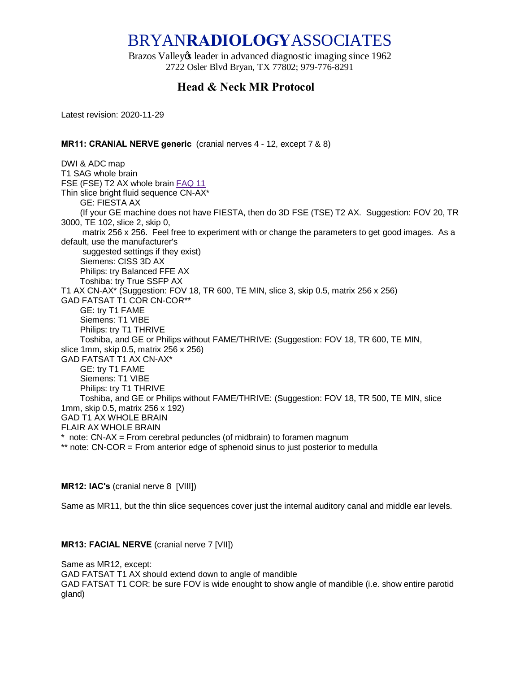# BRYAN**RADIOLOGY**ASSOCIATES

Brazos Valley & leader in advanced diagnostic imaging since 1962 2722 Osler Blvd Bryan, TX 77802; 979-776-8291

# **Head & Neck MR Protocol**

Latest revision: 2020-11-29

# **MR11: CRANIAL NERVE generic** (cranial nerves 4 - 12, except 7 & 8)

DWI & ADC map T1 SAG whole brain FSE (FSE) T2 AX whole brain [FAQ 11](https://sites.google.com/site/bryradprotocols/Home/frequently-asked-questions/faq-11) Thin slice bright fluid sequence CN-AX\* GE: FIESTA AX (If your GE machine does not have FIESTA, then do 3D FSE (TSE) T2 AX. Suggestion: FOV 20, TR 3000, TE 102, slice 2, skip 0, matrix 256 x 256. Feel free to experiment with or change the parameters to get good images. As a default, use the manufacturer's suggested settings if they exist) Siemens: CISS 3D AX Philips: try Balanced FFE AX Toshiba: try True SSFP AX T1 AX CN-AX\* (Suggestion: FOV 18, TR 600, TE MIN, slice 3, skip 0.5, matrix 256 x 256) GAD FATSAT T1 COR CN-COR\*\* GE: try T1 FAME Siemens: T1 VIBE Philips: try T1 THRIVE Toshiba, and GE or Philips without FAME/THRIVE: (Suggestion: FOV 18, TR 600, TE MIN, slice 1mm, skip 0.5, matrix 256 x 256) GAD FATSAT T1 AX CN-AX\* GE: try T1 FAME Siemens: T1 VIBE Philips: try T1 THRIVE Toshiba, and GE or Philips without FAME/THRIVE: (Suggestion: FOV 18, TR 500, TE MIN, slice 1mm, skip 0.5, matrix 256 x 192) GAD T1 AX WHOLE BRAIN FLAIR AX WHOLE BRAIN \* note: CN-AX = From cerebral peduncles (of midbrain) to foramen magnum \*\* note: CN-COR = From anterior edge of sphenoid sinus to just posterior to medulla

# **MR12: IAC's** (cranial nerve 8 [VIII])

Same as MR11, but the thin slice sequences cover just the internal auditory canal and middle ear levels.

# **MR13: FACIAL NERVE** (cranial nerve 7 [VII])

Same as MR12, except: GAD FATSAT T1 AX should extend down to angle of mandible GAD FATSAT T1 COR: be sure FOV is wide enought to show angle of mandible (i.e. show entire parotid gland)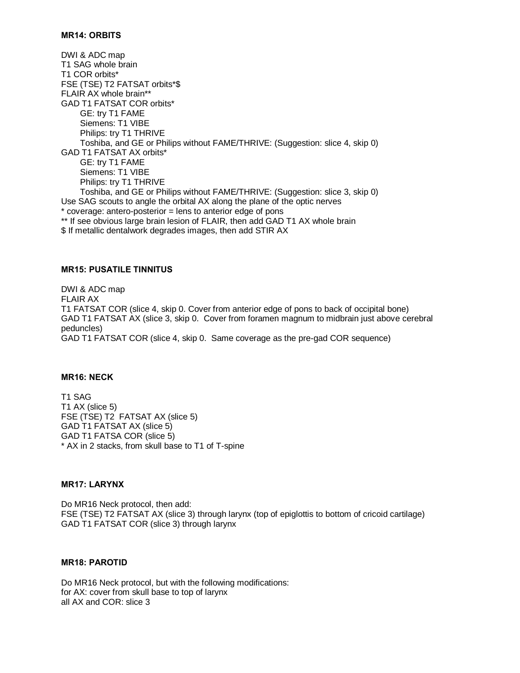#### **MR14: ORBITS**

DWI & ADC map T1 SAG whole brain T1 COR orbits\* FSE (TSE) T2 FATSAT orbits\*\$ FLAIR AX whole brain\*\* GAD T1 FATSAT COR orbits\* GE: try T1 FAME Siemens: T1 VIBE Philips: try T1 THRIVE Toshiba, and GE or Philips without FAME/THRIVE: (Suggestion: slice 4, skip 0) GAD T1 FATSAT AX orbits\* GE: try T1 FAME Siemens: T1 VIBE Philips: try T1 THRIVE Toshiba, and GE or Philips without FAME/THRIVE: (Suggestion: slice 3, skip 0) Use SAG scouts to angle the orbital AX along the plane of the optic nerves \* coverage: antero-posterior = lens to anterior edge of pons \*\* If see obvious large brain lesion of FLAIR, then add GAD T1 AX whole brain \$ If metallic dentalwork degrades images, then add STIR AX

#### **MR15: PUSATILE TINNITUS**

DWI & ADC map FLAIR AX T1 FATSAT COR (slice 4, skip 0. Cover from anterior edge of pons to back of occipital bone) GAD T1 FATSAT AX (slice 3, skip 0. Cover from foramen magnum to midbrain just above cerebral peduncles) GAD T1 FATSAT COR (slice 4, skip 0. Same coverage as the pre-gad COR sequence)

#### **MR16: NECK**

T1 SAG T1 AX (slice 5) FSE (TSE) T2 FATSAT AX (slice 5) GAD T1 FATSAT AX (slice 5) GAD T1 FATSA COR (slice 5) \* AX in 2 stacks, from skull base to T1 of T-spine

# **MR17: LARYNX**

Do MR16 Neck protocol, then add: FSE (TSE) T2 FATSAT AX (slice 3) through larynx (top of epiglottis to bottom of cricoid cartilage) GAD T1 FATSAT COR (slice 3) through larynx

# **MR18: PAROTID**

Do MR16 Neck protocol, but with the following modifications: for AX: cover from skull base to top of larynx all AX and COR: slice 3